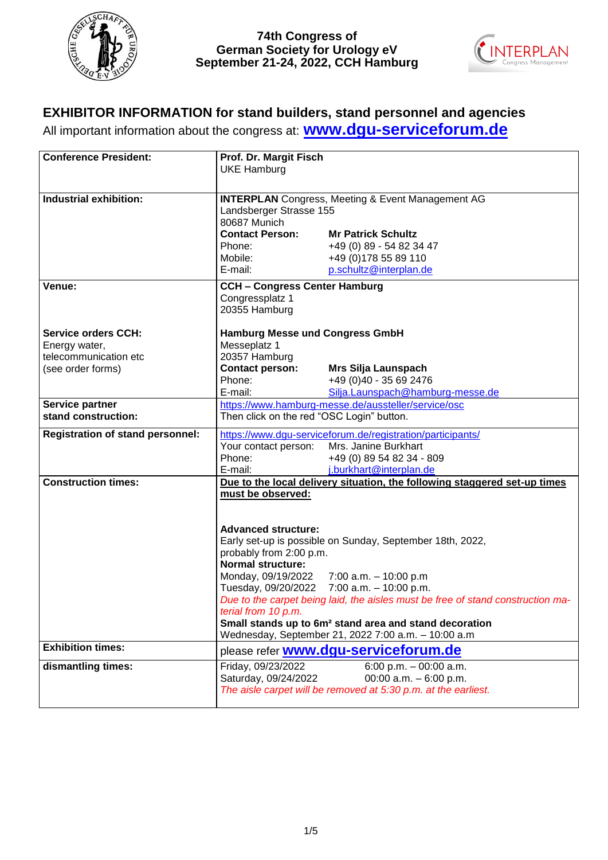



# **EXHIBITOR INFORMATION for stand builders, stand personnel and agencies**

All important information about the congress at: **[www.dgu-serviceforum.de](http://www.dgu-serviceforum.de/)**

| Industrial exhibition:<br><b>INTERPLAN</b> Congress, Meeting & Event Management AG<br>Landsberger Strasse 155<br>80687 Munich<br><b>Contact Person:</b><br><b>Mr Patrick Schultz</b><br>+49 (0) 89 - 54 82 34 47<br>Phone:<br>+49 (0) 178 55 89 110<br>Mobile:<br>E-mail:<br>p.schultz@interplan.de<br><b>CCH - Congress Center Hamburg</b><br>Venue:<br>Congressplatz 1<br>20355 Hamburg<br><b>Service orders CCH:</b><br><b>Hamburg Messe und Congress GmbH</b><br>Energy water,<br>Messeplatz 1<br>20357 Hamburg<br>telecommunication etc<br><b>Contact person:</b><br>(see order forms)<br>Mrs Silja Launspach<br>Phone:<br>+49 (0)40 - 35 69 2476<br>E-mail:<br>Silja.Launspach@hamburg-messe.de<br>https://www.hamburg-messe.de/aussteller/service/osc<br>Service partner<br>Then click on the red "OSC Login" button.<br>stand construction:<br>https://www.dgu-serviceforum.de/registration/participants/<br><b>Registration of stand personnel:</b><br>Mrs. Janine Burkhart<br>Your contact person:<br>Phone:<br>+49 (0) 89 54 82 34 - 809<br>E-mail:<br>j.burkhart@interplan.de<br><b>Construction times:</b><br>Due to the local delivery situation, the following staggered set-up times<br>must be observed:<br><b>Advanced structure:</b> | <b>Conference President:</b> | Prof. Dr. Margit Fisch<br><b>UKE Hamburg</b> |                                                           |
|---------------------------------------------------------------------------------------------------------------------------------------------------------------------------------------------------------------------------------------------------------------------------------------------------------------------------------------------------------------------------------------------------------------------------------------------------------------------------------------------------------------------------------------------------------------------------------------------------------------------------------------------------------------------------------------------------------------------------------------------------------------------------------------------------------------------------------------------------------------------------------------------------------------------------------------------------------------------------------------------------------------------------------------------------------------------------------------------------------------------------------------------------------------------------------------------------------------------------------------------------------|------------------------------|----------------------------------------------|-----------------------------------------------------------|
|                                                                                                                                                                                                                                                                                                                                                                                                                                                                                                                                                                                                                                                                                                                                                                                                                                                                                                                                                                                                                                                                                                                                                                                                                                                         |                              |                                              |                                                           |
|                                                                                                                                                                                                                                                                                                                                                                                                                                                                                                                                                                                                                                                                                                                                                                                                                                                                                                                                                                                                                                                                                                                                                                                                                                                         |                              |                                              |                                                           |
|                                                                                                                                                                                                                                                                                                                                                                                                                                                                                                                                                                                                                                                                                                                                                                                                                                                                                                                                                                                                                                                                                                                                                                                                                                                         |                              |                                              |                                                           |
|                                                                                                                                                                                                                                                                                                                                                                                                                                                                                                                                                                                                                                                                                                                                                                                                                                                                                                                                                                                                                                                                                                                                                                                                                                                         |                              |                                              |                                                           |
|                                                                                                                                                                                                                                                                                                                                                                                                                                                                                                                                                                                                                                                                                                                                                                                                                                                                                                                                                                                                                                                                                                                                                                                                                                                         |                              |                                              |                                                           |
|                                                                                                                                                                                                                                                                                                                                                                                                                                                                                                                                                                                                                                                                                                                                                                                                                                                                                                                                                                                                                                                                                                                                                                                                                                                         |                              |                                              |                                                           |
|                                                                                                                                                                                                                                                                                                                                                                                                                                                                                                                                                                                                                                                                                                                                                                                                                                                                                                                                                                                                                                                                                                                                                                                                                                                         |                              |                                              |                                                           |
|                                                                                                                                                                                                                                                                                                                                                                                                                                                                                                                                                                                                                                                                                                                                                                                                                                                                                                                                                                                                                                                                                                                                                                                                                                                         |                              |                                              |                                                           |
|                                                                                                                                                                                                                                                                                                                                                                                                                                                                                                                                                                                                                                                                                                                                                                                                                                                                                                                                                                                                                                                                                                                                                                                                                                                         |                              |                                              |                                                           |
|                                                                                                                                                                                                                                                                                                                                                                                                                                                                                                                                                                                                                                                                                                                                                                                                                                                                                                                                                                                                                                                                                                                                                                                                                                                         |                              |                                              |                                                           |
|                                                                                                                                                                                                                                                                                                                                                                                                                                                                                                                                                                                                                                                                                                                                                                                                                                                                                                                                                                                                                                                                                                                                                                                                                                                         |                              |                                              |                                                           |
|                                                                                                                                                                                                                                                                                                                                                                                                                                                                                                                                                                                                                                                                                                                                                                                                                                                                                                                                                                                                                                                                                                                                                                                                                                                         |                              |                                              |                                                           |
|                                                                                                                                                                                                                                                                                                                                                                                                                                                                                                                                                                                                                                                                                                                                                                                                                                                                                                                                                                                                                                                                                                                                                                                                                                                         |                              |                                              |                                                           |
|                                                                                                                                                                                                                                                                                                                                                                                                                                                                                                                                                                                                                                                                                                                                                                                                                                                                                                                                                                                                                                                                                                                                                                                                                                                         |                              |                                              |                                                           |
|                                                                                                                                                                                                                                                                                                                                                                                                                                                                                                                                                                                                                                                                                                                                                                                                                                                                                                                                                                                                                                                                                                                                                                                                                                                         |                              |                                              |                                                           |
|                                                                                                                                                                                                                                                                                                                                                                                                                                                                                                                                                                                                                                                                                                                                                                                                                                                                                                                                                                                                                                                                                                                                                                                                                                                         |                              |                                              |                                                           |
|                                                                                                                                                                                                                                                                                                                                                                                                                                                                                                                                                                                                                                                                                                                                                                                                                                                                                                                                                                                                                                                                                                                                                                                                                                                         |                              |                                              |                                                           |
|                                                                                                                                                                                                                                                                                                                                                                                                                                                                                                                                                                                                                                                                                                                                                                                                                                                                                                                                                                                                                                                                                                                                                                                                                                                         |                              |                                              |                                                           |
|                                                                                                                                                                                                                                                                                                                                                                                                                                                                                                                                                                                                                                                                                                                                                                                                                                                                                                                                                                                                                                                                                                                                                                                                                                                         |                              |                                              |                                                           |
|                                                                                                                                                                                                                                                                                                                                                                                                                                                                                                                                                                                                                                                                                                                                                                                                                                                                                                                                                                                                                                                                                                                                                                                                                                                         |                              |                                              |                                                           |
|                                                                                                                                                                                                                                                                                                                                                                                                                                                                                                                                                                                                                                                                                                                                                                                                                                                                                                                                                                                                                                                                                                                                                                                                                                                         |                              |                                              |                                                           |
|                                                                                                                                                                                                                                                                                                                                                                                                                                                                                                                                                                                                                                                                                                                                                                                                                                                                                                                                                                                                                                                                                                                                                                                                                                                         |                              |                                              | Early set-up is possible on Sunday, September 18th, 2022, |
| probably from 2:00 p.m.                                                                                                                                                                                                                                                                                                                                                                                                                                                                                                                                                                                                                                                                                                                                                                                                                                                                                                                                                                                                                                                                                                                                                                                                                                 |                              |                                              |                                                           |
| <b>Normal structure:</b>                                                                                                                                                                                                                                                                                                                                                                                                                                                                                                                                                                                                                                                                                                                                                                                                                                                                                                                                                                                                                                                                                                                                                                                                                                |                              |                                              |                                                           |
| Monday, 09/19/2022 7:00 a.m. - 10:00 p.m<br>Tuesday, 09/20/2022 7:00 a.m. - 10:00 p.m.                                                                                                                                                                                                                                                                                                                                                                                                                                                                                                                                                                                                                                                                                                                                                                                                                                                                                                                                                                                                                                                                                                                                                                  |                              |                                              |                                                           |
| Due to the carpet being laid, the aisles must be free of stand construction ma-                                                                                                                                                                                                                                                                                                                                                                                                                                                                                                                                                                                                                                                                                                                                                                                                                                                                                                                                                                                                                                                                                                                                                                         |                              |                                              |                                                           |
| terial from 10 p.m.                                                                                                                                                                                                                                                                                                                                                                                                                                                                                                                                                                                                                                                                                                                                                                                                                                                                                                                                                                                                                                                                                                                                                                                                                                     |                              |                                              |                                                           |
| Small stands up to 6m <sup>2</sup> stand area and stand decoration                                                                                                                                                                                                                                                                                                                                                                                                                                                                                                                                                                                                                                                                                                                                                                                                                                                                                                                                                                                                                                                                                                                                                                                      |                              |                                              |                                                           |
| Wednesday, September 21, 2022 7:00 a.m. - 10:00 a.m                                                                                                                                                                                                                                                                                                                                                                                                                                                                                                                                                                                                                                                                                                                                                                                                                                                                                                                                                                                                                                                                                                                                                                                                     |                              |                                              |                                                           |
| <b>Exhibition times:</b><br>please refer <b>www.dgu-serviceforum.de</b>                                                                                                                                                                                                                                                                                                                                                                                                                                                                                                                                                                                                                                                                                                                                                                                                                                                                                                                                                                                                                                                                                                                                                                                 |                              |                                              |                                                           |
| dismantling times:<br>Friday, 09/23/2022<br>6:00 p.m. $-$ 00:00 a.m.                                                                                                                                                                                                                                                                                                                                                                                                                                                                                                                                                                                                                                                                                                                                                                                                                                                                                                                                                                                                                                                                                                                                                                                    |                              |                                              |                                                           |
| Saturday, 09/24/2022<br>00:00 a.m. $-6:00$ p.m.                                                                                                                                                                                                                                                                                                                                                                                                                                                                                                                                                                                                                                                                                                                                                                                                                                                                                                                                                                                                                                                                                                                                                                                                         |                              |                                              |                                                           |
| The aisle carpet will be removed at 5:30 p.m. at the earliest.                                                                                                                                                                                                                                                                                                                                                                                                                                                                                                                                                                                                                                                                                                                                                                                                                                                                                                                                                                                                                                                                                                                                                                                          |                              |                                              |                                                           |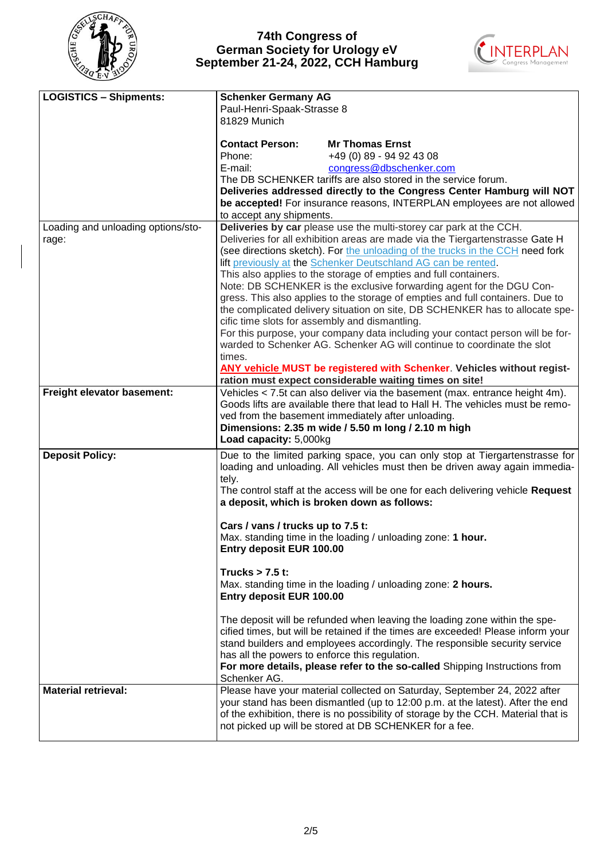



| <b>LOGISTICS - Shipments:</b>      | <b>Schenker Germany AG</b><br>Paul-Henri-Spaak-Strasse 8 |                                                                                          |
|------------------------------------|----------------------------------------------------------|------------------------------------------------------------------------------------------|
|                                    | 81829 Munich                                             |                                                                                          |
|                                    |                                                          |                                                                                          |
|                                    | <b>Contact Person:</b>                                   | <b>Mr Thomas Ernst</b>                                                                   |
|                                    | Phone:                                                   | +49 (0) 89 - 94 92 43 08                                                                 |
|                                    | E-mail:                                                  | congress@dbschenker.com<br>The DB SCHENKER tariffs are also stored in the service forum. |
|                                    |                                                          | Deliveries addressed directly to the Congress Center Hamburg will NOT                    |
|                                    |                                                          | be accepted! For insurance reasons, INTERPLAN employees are not allowed                  |
|                                    | to accept any shipments.                                 |                                                                                          |
| Loading and unloading options/sto- |                                                          | Deliveries by car please use the multi-storey car park at the CCH.                       |
| rage:                              |                                                          | Deliveries for all exhibition areas are made via the Tiergartenstrasse Gate H            |
|                                    |                                                          | (see directions sketch). For the unloading of the trucks in the CCH need fork            |
|                                    |                                                          | lift previously at the Schenker Deutschland AG can be rented.                            |
|                                    |                                                          | This also applies to the storage of empties and full containers.                         |
|                                    |                                                          | Note: DB SCHENKER is the exclusive forwarding agent for the DGU Con-                     |
|                                    |                                                          | gress. This also applies to the storage of empties and full containers. Due to           |
|                                    |                                                          | the complicated delivery situation on site, DB SCHENKER has to allocate spe-             |
|                                    | cific time slots for assembly and dismantling.           |                                                                                          |
|                                    |                                                          | For this purpose, your company data including your contact person will be for-           |
|                                    |                                                          | warded to Schenker AG. Schenker AG will continue to coordinate the slot                  |
|                                    | times.                                                   |                                                                                          |
|                                    |                                                          | ANY vehicle MUST be registered with Schenker. Vehicles without regist-                   |
|                                    |                                                          | ration must expect considerable waiting times on site!                                   |
| Freight elevator basement:         |                                                          | Vehicles < 7.5t can also deliver via the basement (max. entrance height 4m).             |
|                                    |                                                          | Goods lifts are available there that lead to Hall H. The vehicles must be remo-          |
|                                    |                                                          | ved from the basement immediately after unloading.                                       |
|                                    |                                                          | Dimensions: 2.35 m wide / 5.50 m long / 2.10 m high                                      |
|                                    | Load capacity: 5,000kg                                   |                                                                                          |
| <b>Deposit Policy:</b>             |                                                          | Due to the limited parking space, you can only stop at Tiergartenstrasse for             |
|                                    |                                                          | loading and unloading. All vehicles must then be driven away again immedia-              |
|                                    | tely.                                                    |                                                                                          |
|                                    |                                                          | The control staff at the access will be one for each delivering vehicle Request          |
|                                    |                                                          | a deposit, which is broken down as follows:                                              |
|                                    |                                                          |                                                                                          |
|                                    | Cars / vans / trucks up to 7.5 t:                        |                                                                                          |
|                                    | Entry deposit EUR 100.00                                 | Max. standing time in the loading / unloading zone: 1 hour.                              |
|                                    |                                                          |                                                                                          |
|                                    | Trucks $> 7.5$ t:                                        |                                                                                          |
|                                    |                                                          | Max. standing time in the loading / unloading zone: 2 hours.                             |
|                                    | Entry deposit EUR 100.00                                 |                                                                                          |
|                                    |                                                          |                                                                                          |
|                                    |                                                          | The deposit will be refunded when leaving the loading zone within the spe-               |
|                                    |                                                          | cified times, but will be retained if the times are exceeded! Please inform your         |
|                                    |                                                          | stand builders and employees accordingly. The responsible security service               |
|                                    | has all the powers to enforce this regulation.           |                                                                                          |
|                                    |                                                          | For more details, please refer to the so-called Shipping Instructions from               |
|                                    | Schenker AG.                                             |                                                                                          |
| <b>Material retrieval:</b>         |                                                          | Please have your material collected on Saturday, September 24, 2022 after                |
|                                    |                                                          | your stand has been dismantled (up to 12:00 p.m. at the latest). After the end           |
|                                    |                                                          | of the exhibition, there is no possibility of storage by the CCH. Material that is       |
|                                    |                                                          | not picked up will be stored at DB SCHENKER for a fee.                                   |
|                                    |                                                          |                                                                                          |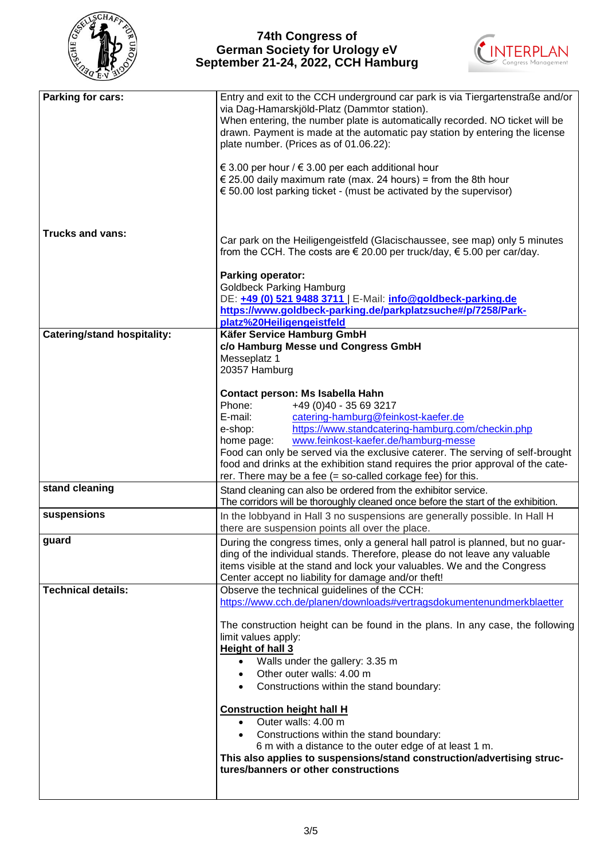



| Parking for cars:                  | Entry and exit to the CCH underground car park is via Tiergartenstraße and/or<br>via Dag-Hamarskjöld-Platz (Dammtor station).<br>When entering, the number plate is automatically recorded. NO ticket will be<br>drawn. Payment is made at the automatic pay station by entering the license<br>plate number. (Prices as of 01.06.22):<br>€ 3.00 per hour / € 3.00 per each additional hour<br>€ 25.00 daily maximum rate (max. 24 hours) = from the 8th hour<br>€ 50.00 lost parking ticket - (must be activated by the supervisor)                                                                                                              |
|------------------------------------|---------------------------------------------------------------------------------------------------------------------------------------------------------------------------------------------------------------------------------------------------------------------------------------------------------------------------------------------------------------------------------------------------------------------------------------------------------------------------------------------------------------------------------------------------------------------------------------------------------------------------------------------------|
| Trucks and vans:                   | Car park on the Heiligengeistfeld (Glacischaussee, see map) only 5 minutes<br>from the CCH. The costs are $\epsilon$ 20.00 per truck/day, $\epsilon$ 5.00 per car/day.                                                                                                                                                                                                                                                                                                                                                                                                                                                                            |
|                                    | <b>Parking operator:</b><br><b>Goldbeck Parking Hamburg</b><br>DE: +49 (0) 521 9488 3711   E-Mail: info@goldbeck-parking.de<br>https://www.goldbeck-parking.de/parkplatzsuche#/p/7258/Park-<br>platz%20Heiligengeistfeld                                                                                                                                                                                                                                                                                                                                                                                                                          |
| <b>Catering/stand hospitality:</b> | Käfer Service Hamburg GmbH<br>c/o Hamburg Messe und Congress GmbH<br>Messeplatz 1<br>20357 Hamburg                                                                                                                                                                                                                                                                                                                                                                                                                                                                                                                                                |
|                                    | Contact person: Ms Isabella Hahn<br>Phone:<br>+49 (0)40 - 35 69 3217<br>E-mail:<br>catering-hamburg@feinkost-kaefer.de<br>https://www.standcatering-hamburg.com/checkin.php<br>e-shop:<br>www.feinkost-kaefer.de/hamburg-messe<br>home page:<br>Food can only be served via the exclusive caterer. The serving of self-brought<br>food and drinks at the exhibition stand requires the prior approval of the cate-<br>rer. There may be a fee $(=$ so-called corkage fee) for this.                                                                                                                                                               |
| stand cleaning                     | Stand cleaning can also be ordered from the exhibitor service.<br>The corridors will be thoroughly cleaned once before the start of the exhibition.                                                                                                                                                                                                                                                                                                                                                                                                                                                                                               |
| suspensions                        | In the lobbyand in Hall 3 no suspensions are generally possible. In Hall H<br>there are suspension points all over the place.                                                                                                                                                                                                                                                                                                                                                                                                                                                                                                                     |
| guard                              | During the congress times, only a general hall patrol is planned, but no guar-<br>ding of the individual stands. Therefore, please do not leave any valuable<br>items visible at the stand and lock your valuables. We and the Congress<br>Center accept no liability for damage and/or theft!                                                                                                                                                                                                                                                                                                                                                    |
| <b>Technical details:</b>          | Observe the technical guidelines of the CCH:<br>https://www.cch.de/planen/downloads#vertragsdokumentenundmerkblaetter<br>The construction height can be found in the plans. In any case, the following<br>limit values apply:<br>Height of hall 3<br>Walls under the gallery: 3.35 m<br>Other outer walls: 4.00 m<br>Constructions within the stand boundary:<br><b>Construction height hall H</b><br>Outer walls: 4.00 m<br>Constructions within the stand boundary:<br>6 m with a distance to the outer edge of at least 1 m.<br>This also applies to suspensions/stand construction/advertising struc-<br>tures/banners or other constructions |
|                                    |                                                                                                                                                                                                                                                                                                                                                                                                                                                                                                                                                                                                                                                   |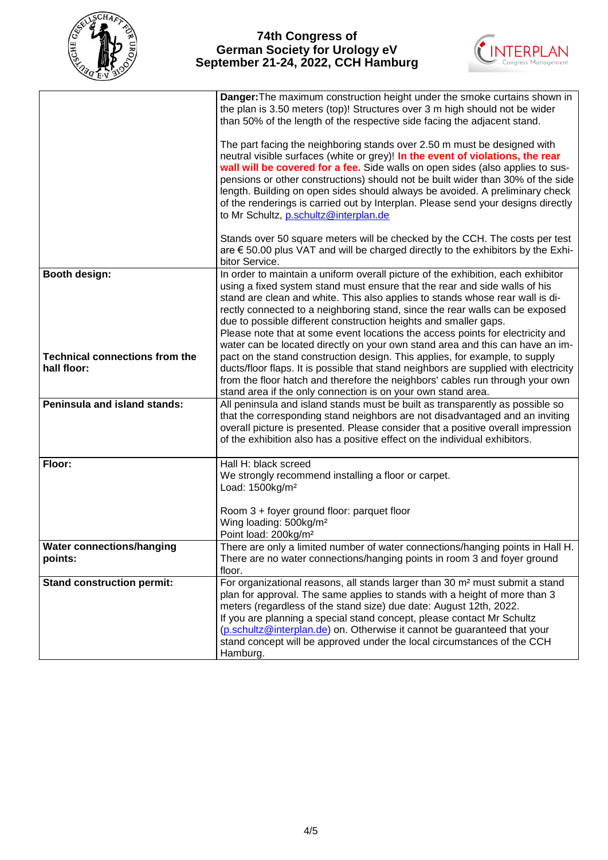



|                                                      | Danger: The maximum construction height under the smoke curtains shown in<br>the plan is 3.50 meters (top)! Structures over 3 m high should not be wider<br>than 50% of the length of the respective side facing the adjacent stand.<br>The part facing the neighboring stands over 2.50 m must be designed with<br>neutral visible surfaces (white or grey)! In the event of violations, the rear<br>wall will be covered for a fee. Side walls on open sides (also applies to sus-<br>pensions or other constructions) should not be built wider than 30% of the side<br>length. Building on open sides should always be avoided. A preliminary check<br>of the renderings is carried out by Interplan. Please send your designs directly<br>to Mr Schultz, p.schultz@interplan.de<br>Stands over 50 square meters will be checked by the CCH. The costs per test<br>are € 50.00 plus VAT and will be charged directly to the exhibitors by the Exhi-<br>bitor Service. |
|------------------------------------------------------|---------------------------------------------------------------------------------------------------------------------------------------------------------------------------------------------------------------------------------------------------------------------------------------------------------------------------------------------------------------------------------------------------------------------------------------------------------------------------------------------------------------------------------------------------------------------------------------------------------------------------------------------------------------------------------------------------------------------------------------------------------------------------------------------------------------------------------------------------------------------------------------------------------------------------------------------------------------------------|
| Booth design:                                        | In order to maintain a uniform overall picture of the exhibition, each exhibitor<br>using a fixed system stand must ensure that the rear and side walls of his<br>stand are clean and white. This also applies to stands whose rear wall is di-<br>rectly connected to a neighboring stand, since the rear walls can be exposed<br>due to possible different construction heights and smaller gaps.<br>Please note that at some event locations the access points for electricity and<br>water can be located directly on your own stand area and this can have an im-                                                                                                                                                                                                                                                                                                                                                                                                    |
| <b>Technical connections from the</b><br>hall floor: | pact on the stand construction design. This applies, for example, to supply<br>ducts/floor flaps. It is possible that stand neighbors are supplied with electricity<br>from the floor hatch and therefore the neighbors' cables run through your own<br>stand area if the only connection is on your own stand area.                                                                                                                                                                                                                                                                                                                                                                                                                                                                                                                                                                                                                                                      |
| Peninsula and island stands:                         | All peninsula and island stands must be built as transparently as possible so<br>that the corresponding stand neighbors are not disadvantaged and an inviting<br>overall picture is presented. Please consider that a positive overall impression<br>of the exhibition also has a positive effect on the individual exhibitors.                                                                                                                                                                                                                                                                                                                                                                                                                                                                                                                                                                                                                                           |
| Floor:                                               | Hall H: black screed<br>We strongly recommend installing a floor or carpet.<br>Load: 1500kg/m <sup>2</sup>                                                                                                                                                                                                                                                                                                                                                                                                                                                                                                                                                                                                                                                                                                                                                                                                                                                                |
|                                                      | Room 3 + foyer ground floor: parquet floor<br>Wing loading: 500kg/m <sup>2</sup><br>Point load: 200kg/m <sup>2</sup>                                                                                                                                                                                                                                                                                                                                                                                                                                                                                                                                                                                                                                                                                                                                                                                                                                                      |
| <b>Water connections/hanging</b><br>points:          | There are only a limited number of water connections/hanging points in Hall H.<br>There are no water connections/hanging points in room 3 and foyer ground<br>floor.                                                                                                                                                                                                                                                                                                                                                                                                                                                                                                                                                                                                                                                                                                                                                                                                      |
| <b>Stand construction permit:</b>                    | For organizational reasons, all stands larger than 30 m <sup>2</sup> must submit a stand<br>plan for approval. The same applies to stands with a height of more than 3<br>meters (regardless of the stand size) due date: August 12th, 2022.<br>If you are planning a special stand concept, please contact Mr Schultz<br>(p.schultz@interplan.de) on. Otherwise it cannot be guaranteed that your<br>stand concept will be approved under the local circumstances of the CCH<br>Hamburg.                                                                                                                                                                                                                                                                                                                                                                                                                                                                                 |